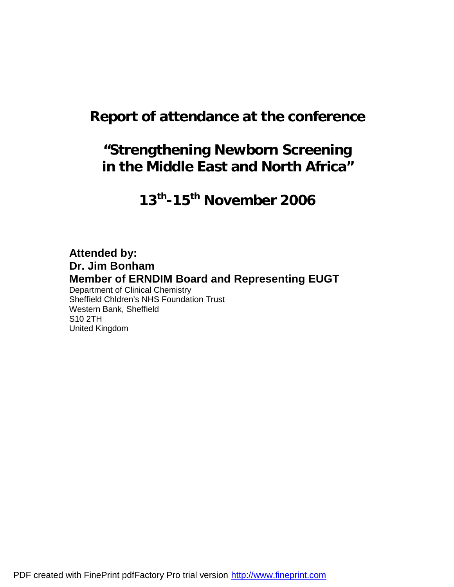# **Report of attendance at the conference**

# **"Strengthening Newborn Screening in the Middle East and North Africa"**

**13th -15th November 2006**

# **Attended by: Dr. Jim Bonham Member of ERNDIM Board and Representing EUGT**

Department of Clinical Chemistry Sheffield Chldren's NHS Foundation Trust Western Bank, Sheffield S10 2TH United Kingdom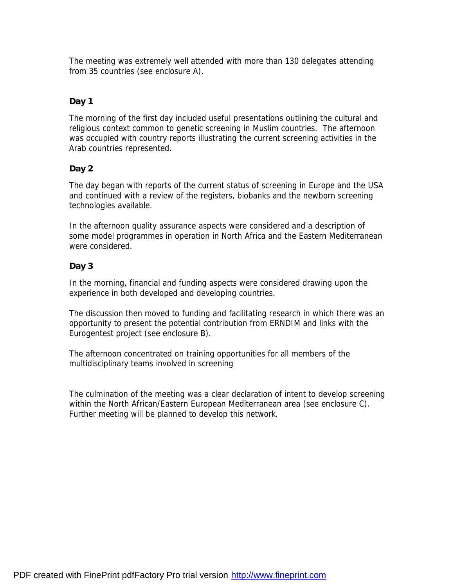The meeting was extremely well attended with more than 130 delegates attending from 35 countries (see enclosure A).

# **Day 1**

The morning of the first day included useful presentations outlining the cultural and religious context common to genetic screening in Muslim countries. The afternoon was occupied with country reports illustrating the current screening activities in the Arab countries represented.

# **Day 2**

The day began with reports of the current status of screening in Europe and the USA and continued with a review of the registers, biobanks and the newborn screening technologies available.

In the afternoon quality assurance aspects were considered and a description of some model programmes in operation in North Africa and the Eastern Mediterranean were considered.

# **Day 3**

In the morning, financial and funding aspects were considered drawing upon the experience in both developed and developing countries.

The discussion then moved to funding and facilitating research in which there was an opportunity to present the potential contribution from ERNDIM and links with the Eurogentest project (see enclosure B).

The afternoon concentrated on training opportunities for all members of the multidisciplinary teams involved in screening

The culmination of the meeting was a clear declaration of intent to develop screening within the North African/Eastern European Mediterranean area (see enclosure C). Further meeting will be planned to develop this network.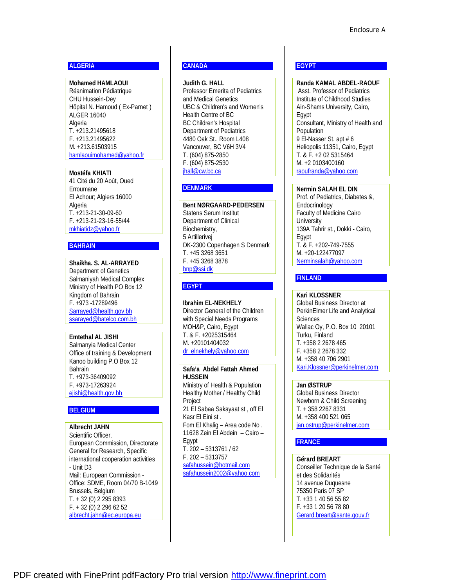## **ALGERIA**

**Mohamed HAMLAOUI**  Réanimation Pédiatrique CHU Hussein-Dey Hôpital N. Hamoud ( Ex-Parnet ) ALGER 16040 Algeria T. +213.21495618 F. +213.21495622 M. +213.61503915 [hamlaouimohamed@yahoo.fr](mailto:hamlaouimohamed@yahoo.fr)

**Mostéfa KHIATI**  41 Cité du 20 Août, Oued Erroumane El Achour; Algiers 16000 Algeria T. +213-21-30-09-60 F. +213-21-23-16-55/44 [mkhiatidz@yahoo.fr](mailto:mkhiatidz@yahoo.fr) 

## **BAHRAIN**

**Shaikha. S. AL-ARRAYED**  Department of Genetics Salmaniyah Medical Complex Ministry of Health PO Box 12 Kingdom of Bahrain F. +973 -17289496 [Sarrayed@health.gov.bh](mailto:Sarrayed@health.gov.bh)  ssarayed@batelco.com.bh

**Emtethal AL JISHI**  Salmanyia Medical Center Office of training & Development Kanoo building P.O Box 12 Bahrain T. +973-36409092 F. +973-17263924 [ejishi@health.gov.bh](mailto:ejishi@health.gov.bh)

## **BELGIUM**

**Albrecht JAHN** Scientific Officer, European Commission, Directorate General for Research, Specific international cooperation activities - Unit D3 Mail: European Commission - Office: SDME, Room 04/70 B-1049 Brussels, Belgium T. + 32 (0) 2 295 8393 F. + 32 (0) 2 296 62 52 [albrecht.jahn@ec.europa.eu](mailto:albrecht.jahn@ec.europa.eu)

# **CANADA**

**Judith G. HALL**  Professor Emerita of Pediatrics and Medical Genetics UBC & Children's and Women's Health Centre of BC BC Children's Hospital Department of Pediatrics 4480 Oak St., Room L408 Vancouver, BC V6H 3V4 T. (604) 875-2850 F. (604) 875-2530 ihall@cw.bc.ca

## **DENMARK**

**Bent NØRGAARD-PEDERSEN**  Statens Serum Institut Department of Clinical Biochemistry, 5 Artillerivej DK-2300 Copenhagen S Denmark T. +45 3268 3651 F. +45 3268 3878 [bnp@ssi.dk](mailto:bnp@ssi.dk)

# **EGYPT**

**Ibrahim EL-NEKHELY**  Director General of the Children with Special Needs Programs MOH&P, Cairo, Egypt T. & F. +2025315464 M. +20101404032 [dr\\_elnekhely@yahoo.com](mailto:dr_elnekhely@yahoo.com)

**Safa'a Abdel Fattah Ahmed HUSSEIN**  Ministry of Health & Population Healthy Mother / Healthy Child **Project** 21 El Sabaa Sakayaat st , off El Kasr El Eini st . Fom El Khalig – Area code No . 11628 Zein El Abdein – Cairo – Egypt T. 202 – 5313761 / 62 F. 202 – 5313757 [safahussein@hotmail.com](mailto:safahussein@hotmail.com) [safahussein2002@yahoo.com](mailto:safahussein2002@yahoo.com)

## **EGYPT**

**Randa KAMAL ABDEL-RAOUF**  Asst. Professor of Pediatrics Institute of Childhood Studies Ain-Shams University, Cairo, Egypt Consultant, Ministry of Health and Population 9 El-Nasser St. apt # 6 Heliopolis 11351, Cairo, Egypt T. & F. +2 02 5315464 M. +2 0103400160 [raoufranda@yahoo.com](mailto:raoufranda@yahoo.com)

**Nermin SALAH EL DIN** 

Prof. of Pediatrics, Diabetes &, Endocrinology Faculty of Medicine Cairo **University** 139A Tahrir st., Dokki - Cairo, Egypt T. & F. +202-749-7555 M. +20-122477097 [Nerminsalah@yahoo.com](mailto:Nerminsalah@yahoo.com) 

# **FINLAND**

**Kari KLOSSNER**  Global Business Director at PerkinElmer Life and Analytical **Sciences** Wallac Oy, P.O. Box 10 20101 Turku, Finland T. +358 2 2678 465 F. +358 2 2678 332 M. +358 40 706 2901 [Kari.Klossner@perkinelmer.com](mailto:Kari.Klossner@perkinelmer.com)

**Jan ØSTRUP**  Global Business Director Newborn & Child Screening T. + 358 2267 8331 M. +358 400 521 065 [jan.ostrup@perkinelmer.com](mailto:jan.ostrup@perkinelmer.com)

## **FRANCE**

**Gérard BREART**  Conseiller Technique de la Santé et des Solidarités 14 avenue Duquesne 75350 Paris 07 SP T. +33 1 40 56 55 82 F. +33 1 20 56 78 80 [Gerard.breart@sante.gouv.fr](mailto:Gerard.breart@sante.gouv.fr)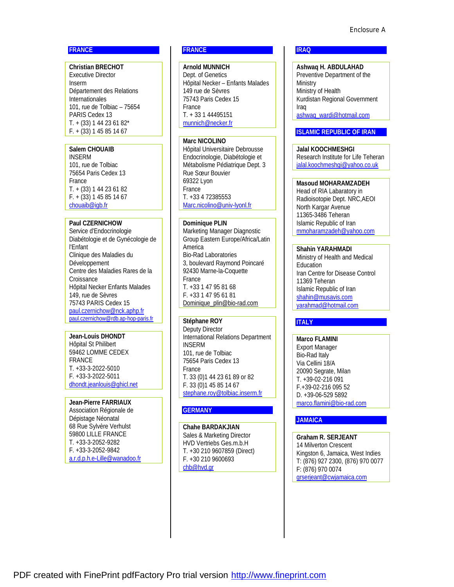## **FRANCE**

**Christian BRECHOT**  Executive Director Inserm Département des Relations Internationales 101, rue de Tolbiac – 75654 PARIS Cedex 13 T. + (33) 1 44 23 61 82\* F. + (33) 1 45 85 14 67

## **Salem CHOUAIB**

INSERM 101, rue de Tolbiac 75654 Paris Cedex 13 France T. + (33) 1 44 23 61 82 F. + (33) 1 45 85 14 67 [chouaib@igb.fr](mailto:chouaib@igb.fr)

## **Paul CZERNICHOW**

Service d'Endocrinologie Diabétologie et de Gynécologie de l'Enfant Clinique des Maladies du Développement Centre des Maladies Rares de la **Croissance** Hôpital Necker Enfants Malades 149, rue de Sèvres 75743 PARIS Cedex 15 [paul.czernichow@nck.aphp.fr](mailto:paul.czernichow@nck.aphp.fr)  [paul.czernichow@rdb.ap-hop-paris.fr](mailto:paul.czernichow@rdb.ap-hop-paris.fr)

**Jean-Louis DHONDT**  Hôpital St Philibert 59462 LOMME CEDEX FRANCE T. +33-3-2022-5010 F. +33-3-2022-5011 [dhondt.jeanlouis@ghicl.net](mailto:dhondt.jeanlouis@ghicl.net)

**Jean-Pierre FARRIAUX**  Association Régionale de Dépistage Néonatal 68 Rue Sylvère Verhulst 59800 LILLE FRANCE T. +33-3-2052-9282 F. +33-3-2052-9842 [a.r.d.p.h.e-Lille@wanadoo.fr](mailto:a.r.d.p.h.e-Lille@wanadoo.fr)

# **FRANCE**

**Arnold MUNNICH**  Dept. of Genetics Hôpital Necker – Enfants Malades 149 rue de Sèvres 75743 Paris Cedex 15 France T. + 33 1 44495151 [munnich@necker.fr](mailto:munnich@necker.fr) 

#### **Marc NICOLINO**

Hôpital Universitaire Debrousse Endocrinologie, Diabétologie et Métabolisme Pédiatrique Dept. 3 Rue Sœur Bouvier 69322 Lyon France T. +33 4 72385553 [Marc.nicolino@univ-lyonl.fr](mailto:Marc.nicolino@univ-lyonl.fr)

#### **Dominique PLIN**  Marketing Manager Diagnostic Group Eastern Europe/Africa/Latin America Bio-Rad Laboratories

3, boulevard Raymond Poincaré 92430 Marne-la-Coquette France T. +33 1 47 95 81 68 F. +33 1 47 95 61 81 [Dominique\\_plin@bio-rad.com](mailto:Dominique_plin@bio-rad.com)

## **Stéphane ROY**

Deputy Director International Relations Department INSERM 101, rue de Tolbiac 75654 Paris Cedex 13 France T. 33 (0)1 44 23 61 89 or 82 F. 33 (0)1 45 85 14 67 [stephane.roy@tolbiac.inserm.fr](mailto:stephane.roy@tolbiac.inserm.fr)

## **GERMANY**

**Chahe BARDAKJIAN** Sales & Marketing Director HVD Vertriebs Ges.m.b.H T. +30 210 9607859 (Direct) F. +30 210 9600693 [chb@hvd.gr](mailto:chb@hvd.gr)

#### **IRAQ**

**Ashwaq H. ABDULAHAD**  Preventive Department of the **Ministry** Ministry of Health Kurdistan Regional Government Iraq [ashwaq\\_wardi@hotmail.com](mailto:ashwaq_wardi@hotmail.com) 

## **ISLAMIC REPUBLIC OF IRAN**

**Jalal KOOCHMESHGI**  Research Institute for Life Teheran [jalal.koochmeshgi@yahoo.co.uk](mailto:jalal.koochmeshgi@yahoo.co.uk)

**Masoud MOHARAMZADEH**  Head of RIA Labaratory in Radioisotopie Dept. NRC,AEOI North Kargar Avenue 11365-3486 Teheran Islamic Republic of Iran [mmoharamzadeh@yahoo.com](mailto:mmoharamzadeh@yahoo.com)

**Shahin YARAHMADI**  Ministry of Health and Medical Education Iran Centre for Disease Control 11369 Teheran Islamic Republic of Iran [shahin@musavis.com](mailto:shahin@musavis.com) [yarahmad@hotmail.com](mailto:yarahmad@hotmail.com) 

## **ITALY**

**Marco FLAMINI**  Export Manager Bio-Rad Italy Via Cellini 18/A 20090 Segrate, Milan T. +39-02-216 091 F.+39-02-216 095 52 D. +39-06-529 5892 [marco.flamini@bio-rad.com](mailto:marco.flamini@bio-rad.com)

## **JAMAICA**

**Graham R. SERJEANT**  14 Milverton Crescent Kingston 6, Jamaica, West Indies T: (876) 927 2300, (876) 970 0077 F: (876) 970 0074 [grserjeant@cwjamaica.com](mailto:grserjeant@cwjamaica.com)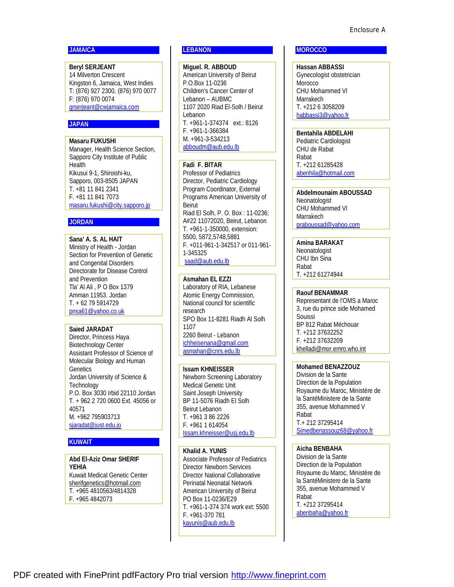#### **JAMAICA**

**Beryl SERJEANT**  14 Milverton Crescent Kingston 6, Jamaica, West Indies T: (876) 927 2300, (876) 970 0077 F: (876) 970 0074 [grserjeant@cwjamaica.com](mailto:grserjeant@cwjamaica.com)

# **JAPAN**

**Masaru FUKUSHI**  Manager, Health Science Section, Sapporo City Institute of Public **Health** Kikusui 9-1, Shiroishi-ku, Sapporo, 003-8505 JAPAN T. +81 11 841 2341 F. +81 11 841 7073 [masaru.fukushi@city.sapporo.jp](mailto:masaru.fukushi@city.sapporo.jp)

## **JORDAN**

**Sana' A. S. AL HAIT**  Ministry of Health - Jordan Section for Prevention of Genetic and Congenital Disorders Directorate for Disease Control and Prevention Tla' Al Ali , P O Box 1379 Amman 11953. Jordan T. + 62 79 5914729 [pnsa61@yahoo.co.uk](mailto:pnsa61@yahoo.co.uk) 

## **Saied JARADAT**

Director, Princess Haya Biotechnology Center Assistant Professor of Science of Molecular Biology and Human **Genetics** Jordan University of Science & **Technology** P.O. Box 3030 Irbid 22110 Jordan T. + 962 2 720 0600 Ext. 45056 or 40571 M. +962 795903713 [sjaradat@just.edu.jo](mailto:sjaradat@just.edu.jo) 

## **KUWAIT**

**Abd El-Aziz Omar SHERIF YEHIA**  Kuwait Medical Genetic Center [sherifgenetics@hotmail.com](mailto:sherifgenetics@hotmail.com) T. +965 4810563/4814328 F. +965 4842073

# **LEBANON**

**Miguel. R. ABBOUD**  American University of Beirut P.O.Box 11-0236 Children's Cancer Center of Lebanon – AUBMC 1107 2020 Riad El-Solh / Beirut Lebanon T. +961-1-374374 ext.: 8126 F. +961-1-366384 M. +961-3-534213 [abboudm@aub.edu.lb](mailto:abboudm@aub.edu.lb)

## **Fadi F. BITAR**

Professor of Pediatrics Director, Pediatric Cardiology Program Coordinator, External Programs American University of Beirut Riad El Solh, P. O. Box : 11-0236; A#22 11072020, Beirut, Lebanon T. +961-1-350000, extension: 5500, 5872,5748,5881 F. +011-961-1-342517 or 011-961- 1-345325 [saad@aub.edu.lb](mailto:saad@aub.edu.lb)

## **Asmahan EL EZZI**

Laboratory of RIA, Lebanese Atomic Energy Commission, National council for scientific research SPO Box 11-8281 Riadh Al Solh 1107 2260 Beirut - Lebanon [ichheisenana@gmail.com](mailto:ichheisenana@gmail.com) [asmahan@cnrs.edu.lb](mailto:asmahan@cnrs.edu.lb)

## **Issam KHNEISSER**

Newborn Screening Laboratory Medical Genetic Unit Saint Joseph University BP 11-5076 Riadh El Solh Beirut Lebanon T. +961 3 86 2226 F. +961 1 614054 [Issam.khneisser@usj.edu.lb](mailto:Issam.khneisser@usj.edu.lb)

**Khalid A. YUNIS**  Associate Professor of Pediatrics Director Newborn Services Director National Collaborative Perinatal Neonatal Network American University of Beirut PO Box 11-0236/E29 T. +961-1-374 374 work ext: 5500 F. +961-370 781 [kayunis@aub.edu.lb](mailto:kayunis@aub.edu.lb) 

#### **MOROCCO**

**Hassan ABBASSI**  Gynecologist obstetrician Morocco CHU Mohammed VI Marrakech T. +212 6 3058209 [habbassi3@yahoo.fr](mailto:habbassi3@yahoo.fr)

**Bentahila ABDELAHI**  Pediatric Cardiologist CHU de Rabat Rabat T. +212 61285428 [abenhila@hotmail.com](mailto:abenhila@hotmail.com)

**Abdelmounaim ABOUSSAD**  Neonatologist CHU Mohammed VI Marrakech [praboussad@yahoo.com](mailto:praboussad@yahoo.com)

**Amina BARAKAT Neonatologist** CHU Ibn Sina Rabat T. +212 61274944

## **Raouf BENAMMAR**

Representant de l'OMS a Maroc 3, rue du prince side Mohamed Souissi BP 812 Rabat Méchouar T. +212 37632252 F. +212 37632209 [khelladi@mor.emro.who.int](mailto:khelladi@mor.emro.who.int)

# **Mohamed BENAZZOUZ**

Division de la Sante Direction de la Population Royaume du Maroc, Ministère de la SantéMinistere de la Sante 355, avenue Mohammed V Rabat T.+ 212 37295414 [Simedbenassouz68@yahoo.fr](mailto:Simedbenassouz68@yahoo.fr)

## **Aicha BENBAHA**

Division de la Sante Direction de la Population Royaume du Maroc, Ministère de la SantéMinistere de la Sante 355, avenue Mohammed V Rabat T. +212 37295414 [abenbaha@yahoo.fr](mailto:abenbaha@yahoo.fr)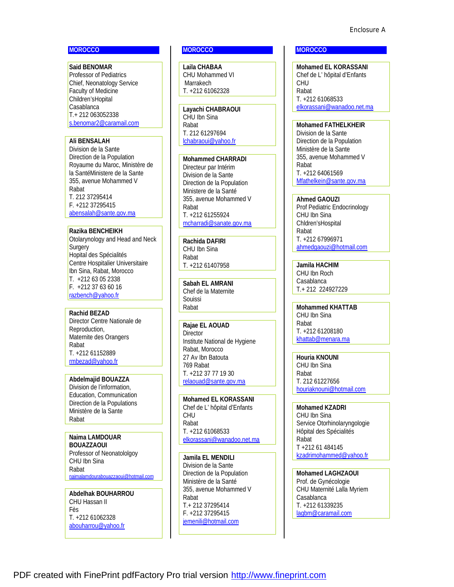#### **MOROCCO**

**Said BENOMAR**  Professor of Pediatrics Chief, Neonatology Service Faculty of Medicine Children'sHopital Casablanca T.+ 212 063052338 [s.benomar2@caramail.com](mailto:s.benomar2@caramail.com)

#### **Ali BENSALAH**

Division de la Sante Direction de la Population Royaume du Maroc, Ministère de la SantéMinistere de la Sante 355, avenue Mohammed V Rabat T. 212 37295414 F. +212 37295415 [abensalah@sante.gov.ma](mailto:abensalah@sante.gov.ma)

#### **Razika BENCHEIKH**

Otolarynology and Head and Neck **Surgery** Hopital des Spécialités Centre Hospitalier Universitaire Ibn Sina, Rabat, Morocco T. +212 63 05 2338 F. +212 37 63 60 16 [razbench@yahoo.fr](mailto:razbench@yahoo.fr)

**Rachid BEZAD**  Director Centre Nationale de Reproduction, Maternite des Orangers Rabat T. +212 61152889 [rmbezad@yahoo.fr](mailto:rmbezad@yahoo.fr)

**Abdelmajid BOUAZZA**  Division de l'information, Education, Communication Direction de la Populations Ministère de la Sante Rabat

**Naima LAMDOUAR BOUAZZAOUI**  Professor of Neonatololgoy CHU Ibn Sina Rabat [naimalamdourabouazzaoui@hotmail.com](mailto:naimalamdourabouazzaoui@hotmail.com)

**Abdelhak BOUHARROU**  CHU Hassan II Fès T. +212 61062328 [abouharrou@yahoo.fr](mailto:abouharrou@yahoo.fr)

# **MOROCCO**

**Laila CHABAA**  CHU Mohammed VI Marrakech T. +212 61062328

**Layachi CHABRAOUI**  CHU Ibn Sina Rabat T. 212 61297694 [lchabraoui@yahoo.fr](mailto:lchabraoui@yahoo.fr)

**Mohammed CHARRADI**  Directeur par Intérim Division de la Sante Direction de la Population Ministere de la Santé 355, avenue Mohammed V Rabat T. +212 61255924 [mcharradi@sanate.gov.ma](mailto:mcharradi@sanate.gov.ma)

**Rachida DAFIRI**  CHU Ibn Sina Rabat T. +212 61407958

**Sabah EL AMRANI**  Chef de la Maternite Souissi Rabat

**Rajae EL AOUAD Director** Institute National de Hygiene Rabat, Morocco 27 Av Ibn Batouta 769 Rabat T. +212 37 77 19 30 [relaouad@sante.gov.ma](mailto:relaouad@sante.gov.ma)

**Mohamed EL KORASSANI**  Chef de L' hôpital d'Enfants CHU Rabat T. +212 61068533 [elkorassani@wanadoo.net.ma](mailto:elkorassani@wanadoo.net.ma)

**Jamila EL MENDILI**  Division de la Sante Direction de la Population Ministère de la Santé 355, avenue Mohammed V Rabat T.+ 212 37295414 F. +212 37295415 [jemenili@hotmail.com](mailto:jemenili@hotmail.com)

#### **MOROCCO**

**Mohamed EL KORASSANI**  Chef de L' hôpital d'Enfants CHU Rabat T. +212 61068533 [elkorassani@wanadoo.net.ma](mailto:elkorassani@wanadoo.net.ma)

**Mohamed FATHELKHEIR**  Division de la Sante Direction de la Population Ministère de la Sante 355, avenue Mohammed V Rabat T. +212 64061569 [Mfathelkein@sante.gov.ma](mailto:Mfathelkein@sante.gov.ma)

**Ahmed GAOUZI**  Prof Pediatric Endocrinology CHU Ibn Sina Chldren'sHospital Rabat T. +212 67996971 [ahmedgaouzi@hotmail.com](mailto:ahmedgaouzi@hotmail.com)

**Jamila HACHIM**  CHU Ibn Roch Casablanca T.+ 212 224927229

**Mohammed KHATTAB**  CHU Ibn Sina Rabat T. +212 61208180 [khattab@menara.ma](mailto:khattab@menara.ma)

**Houria KNOUNI**  CHU Ibn Sina Rabat T. 212 61227656 [houriaknouni@hotmail.com](mailto:houriaknouni@hotmail.com)

**Mohamed KZADRI**  CHU Ibn Sina Service Otorhinolaryngologie Hôpital des Spécialités Rabat T +212 61 484145 [kzadrimohammed@yahoo.fr](mailto:kzadrimohammed@yahoo.fr)

**Mohamed LAGHZAOUI**  Prof. de Gynécologie CHU Maternité Lalla Myriem Casablanca T. +212 61339235 [lagbm@caramail.com](mailto:lagbm@caramail.com)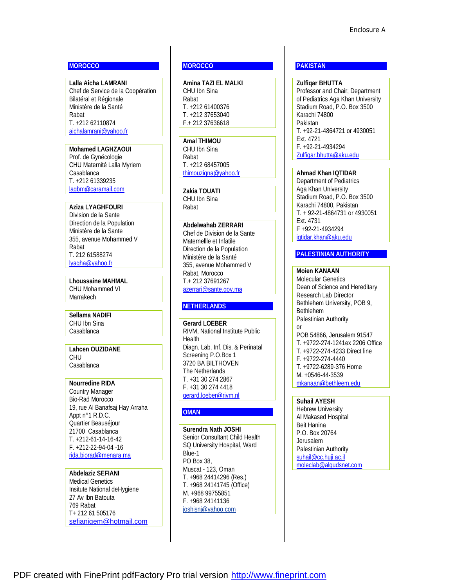## **MOROCCO**

**Lalla Aicha LAMRANI**  Chef de Service de la Coopération Bilatéral et Régionale Ministère de la Santé Rabat T. +212 62110874 [aichalamrani@yahoo.fr](mailto:aichalamrani@yahoo.fr)

# **Mohamed LAGHZAOUI**

Prof. de Gynécologie CHU Maternité Lalla Myriem Casablanca T. +212 61339235 [lagbm@caramail.com](mailto:lagbm@caramail.com)

#### **Aziza LYAGHFOURI**

Division de la Sante Direction de la Population Ministère de la Sante 355, avenue Mohammed V Rabat T. 212 61588274 [lyagha@yahoo.fr](mailto:lyagha@yahoo.fr)

**Lhoussaine MAHMAL**  CHU Mohammed VI Marrakech

**Sellama NADIFI**  CHU Ibn Sina Casablanca

**Lahcen OUZIDANE**  CHU Casablanca

**Nourredine RIDA** Country Manager Bio-Rad Morocco 19, rue Al Banafsaj Hay Arraha Appt n°1 R.D.C. Quartier Beauséjour 21700 Casablanca T. +212-61-14-16-42 F. +212-22-94-04 -16 [rida.biorad@menara.ma](mailto:rida.biorad@menara.ma)

**Abdelaziz SEFIANI**  Medical Genetics Insitute National deHygiene 27 Av Ibn Batouta 769 Rabat T+ 212 61 505176 [sefianigem@hotmail.com](mailto:sefianigem@hotmail.com)

## **MOROCCO**

**Amina TAZI EL MALKI**  CHU Ibn Sina Rabat T. +212 61400376 T. +212 37653040 F.+ 212 37636618

**Amal THIMOU**  CHU Ibn Sina Rabat T. +212 68457005 [thimouzigna@yahoo.fr](mailto:thimouzigna@yahoo.fr)

**Zakia TOUATI**  CHU Ibn Sina Rabat

## **Abdelwahab ZERRARI**

Chef de Division de la Sante Maternellle et Infatile Direction de la Population Ministère de la Santé 355, avenue Mohammed V Rabat, Morocco T.+ 212 37691267 [azerrari@sante.gov.ma](mailto:azerrari@sante.gov.ma)

#### **NETHERLANDS**

**Gerard LOEBER**  RIVM, National Institute Public **Health** Diagn. Lab. Inf. Dis. & Perinatal Screening P.O.Box 1 3720 BA BILTHOVEN The Netherlands T. +31 30 274 2867 F. +31 30 274 4418 [gerard.loeber@rivm.nl](mailto:gerard.loeber@rivm.nl)

## **OMAN**

**Surendra Nath JOSHI**  Senior Consultant Child Health SQ University Hospital, Ward Blue-1 PO Box 38, Muscat - 123, Oman T. +968 24414296 (Res.) T. +968 24141745 (Office) M. +968 99755851 F. +968 24141136 [joshisnj@yahoo.com](mailto:joshisnj@yahoo.com)

## **PAKISTAN**

**Zulfiqar BHUTTA**  Professor and Chair; Department of Pediatrics Aga Khan University Stadium Road, P.O. Box 3500 Karachi 74800 Pakistan T. +92-21-4864721 or 4930051 Ext. 4721 F. +92-21-4934294 [Zulfiqar.bhutta@aku.edu](mailto:Zulfiqar.bhutta@aku.edu)

**Ahmad Khan IQTIDAR**  Department of Pediatrics Aga Khan University Stadium Road, P.O. Box 3500 Karachi 74800, Pakistan T. + 92-21-4864731 or 4930051 Ext. 4731 F +92-21-4934294 [iqtidar.khan@aku.edu](mailto:iqtidar.khan@aku.edu)

## **PALESTINIAN AUTHORITY**

**Moien KANAAN**  Molecular Genetics Dean of Science and Hereditary Research Lab Director Bethlehem University, POB 9, Bethlehem Palestinian Authority or POB 54866, Jerusalem 91547 T. +9722-274-1241ex 2206 Office T. +9722-274-4233 Direct line F. +9722-274-4440 T. +9722-6289-376 Home M. +0546-44-3539 [mkanaan@bethleem.edu](mailto:mkanaan@bethleem.edu)

## **Suhail AYESH**  Hebrew University Al Makased Hospital Beit Hanina P.O. Box 20764 Jerusalem Palestinian Authority [suhail@cc.huji.ac.il](mailto:suhail@cc.huji.ac.il) [moleclab@alqudsnet.com](mailto:moleclab@alqudsnet.com)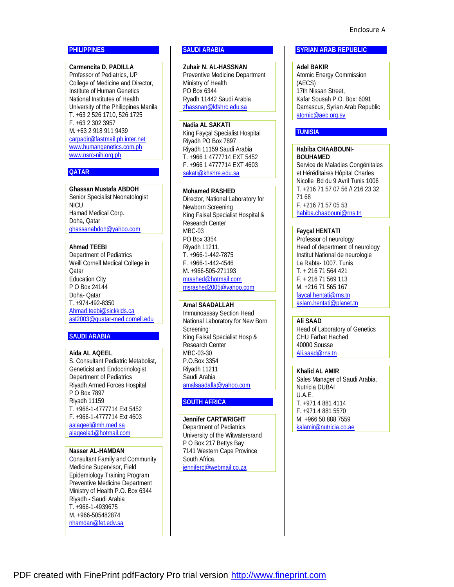# **PHILIPPINES**

**Carmencita D. PADILLA**  Professor of Pediatrics, UP College of Medicine and Director, Institute of Human Genetics National Institutes of Health University of the Philippines Manila T. +63 2 526 1710, 526 1725 F. +63 2 302 3957 M. +63 2 918 911 9439 [carpadir@fastmail.ph.inter.net](mailto:carpadir@fastmail.ph.inter.net) [www.humangenetics.com.ph](http://www.humangenetics.com.ph)  [www.nsrc-nih.org.ph](http://www.nsrc-nih.org.ph) 

#### **QATAR**

**Ghassan Mustafa ABDOH**  Senior Specialist Neonatologist NICU Hamad Medical Corp. Doha, Qatar [ghassanabdoh@yahoo.com](mailto:ghassanabdoh@yahoo.com)

## **Ahmad TEEBI**

Department of Pediatrics Weill Cornell Medical College in **Qatar** Education City P O Box 24144 Doha- Qatar T. +974-492-8350 [Ahmad.teebi@sickkids.ca](mailto:Ahmad.teebi@sickkids.ca) [ast2003@quatar-med.cornell.edu](mailto:ast2003@quatar-med.cornell.edu)

## **SAUDI ARABIA**

**Aida AL AQEEL** S. Consultant Pediatric Metabolist, Geneticist and Endocrinologist Department of Pediatrics Riyadh Armed Forces Hospital P O Box 7897 Riyadh 11159 T. +966-1-4777714 Ext 5452 F. +966-1-4777714 Ext 4603 [aalaqeel@mh.med.sa](mailto:aalaqeel@mh.med.sa) [alaqeela1@hotmail.com](mailto:alaqeela1@hotmail.com)

**Nasser AL-HAMDAN** Consultant Family and Community Medicine Supervisor, Field Epidemiology Training Program Preventive Medicine Department Ministry of Health P.O. Box 6344 Riyadh - Saudi Arabia T. +966-1-4939675 M. +966-505482874 [nhamdan@fet.edv.sa](mailto:nhamdan@fet.edv.sa) 

## **SAUDI ARABIA**

**Zuhair N. AL-HASSNAN**  Preventive Medicine Department Ministry of Health PO Box 6344 Ryadh 11442 Saudi Arabia [zhassnan@kfshrc.edu.sa](mailto:zhassnan@kfshrc.edu.sa)

## **Nadia AL SAKATI**

King Fayçal Specialist Hospital Riyadh PO Box 7897 Riyadh 11159 Saudi Arabia T. +966 1 4777714 EXT 5452 F. +966 1 4777714 EXT 4603 [sakati@khshre.edu.sa](mailto:sakati@khshre.edu.sa)

## **Mohamed RASHED**

Director, National Laboratory for Newborn Screening King Faisal Specialist Hospital & Research Center MBC-03 PO Box 3354 Riyadh 11211, T. +966-1-442-7875 F. +966-1-442-4546 M. +966-505-271193 [mrashed@hotmail.com](mailto:mrashed@hotmail.com) [msrashed2005@yahoo.com](mailto:msrashed2005@yahoo.com)

## **Amal SAADALLAH**

Immunoassay Section Head National Laboratory for New Born **Screening** King Faisal Specialist Hosp & Research Center MBC-03-30 P.O.Box 3354 Riyadh 11211 Saudi Arabia [amalsaadalla@yahoo.com](mailto:amalsaadalla@yahoo.com)

## **SOUTH AFRICA**

**Jennifer CARTWRIGHT**  Department of Pediatrics University of the Witwatersrand P O Box 217 Bettys Bay 7141 Western Cape Province South Africa. [jenniferc@webmail.co.za](mailto:jenniferc@webmail.co.za) 

#### **SYRIAN ARAB REPUBLIC**

**Adel BAKIR**  Atomic Energy Commission (AECS) 17th Nissan Street, Kafar Sousah P.O. Box: 6091 Damascus, Syrian Arab Republic [atomic@aec.org.sy](mailto:atomic@aec.org.sy)

## **TUNISIA**

**Habiba CHAABOUNI-BOUHAMED**  Service de Maladies Congénitales et Héréditaires Hôpital Charles Nicolle Bd du 9 Avril Tunis 1006 T. +216 71 57 07 56 // 216 23 32 71 68 F. +216 71 57 05 53 [habiba.chaabouni@rns.tn](mailto:habiba.chaabouni@rns.tn) 

#### **Fayçal HENTATI**

Professor of neurology Head of department of neurology Institut National de neurologie La Rabta- 1007. Tunis T. + 216 71 564 421 F. + 216 71 569 113 M. +216 71 565 167 [faycal.hentati@rns.tn](mailto:faycal.hentati@rns.tn) [aslam.hentati@planet.tn](mailto:aslam.hentati@planet.tn)

## **Ali SAAD**

Head of Laboratory of Genetics CHU Farhat Hached 40000 Sousse [Ali.saad@rns.tn](mailto:Ali.saad@rns.tn)

**Khalid AL AMIR**  Sales Manager of Saudi Arabia, Nutricia DUBAI U.A.E. T. +971 4 881 4114 F. +971 4 881 5570 M. +966 50 888 7559 [kalamir@nutricia.co.ae](mailto:kalamir@nutricia.co.ae)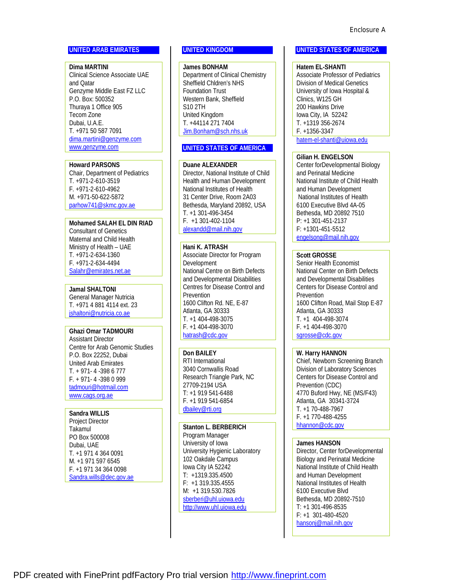## **UNITED ARAB EMIRATES**

**Dima MARTINI**  Clinical Science Associate UAE and Qatar Genzyme Middle East FZ LLC P.O. Box: 500352 Thuraya 1 Office 905 Tecom Zone Dubai, U.A.E. T. +971 50 587 7091 [dima.martini@genzyme.com](mailto:dima.martini@genzyme.com) [www.genzyme.com](http://www.genzyme.com)

**Howard PARSONS** 

Chair, Department of Pediatrics T. +971-2-610-3519 F. +971-2-610-4962 M. +971-50-622-5872 [parhow741@skmc.gov.ae](mailto:parhow741@skmc.gov.ae) 

**Mohamed SALAH EL DIN RIAD**  Consultant of Genetics Maternal and Child Health Ministry of Health – UAE T. +971-2-634-1360 F. +971-2-634-4494 [Salahr@emirates.net.ae](mailto:Salahr@emirates.net.ae) 

**Jamal SHALTONI**  General Manager Nutricia T. +971 4 881 4114 ext. 23 [jshaltoni@nutricia.co.ae](mailto:jshaltoni@nutricia.co.ae)

**Ghazi Omar TADMOURI** Assistant Director Centre for Arab Genomic Studies P.O. Box 22252, Dubai United Arab Emirates T. + 971- 4 -398 6 777 F. + 971- 4 -398 0 999 [tadmouri@hotmail.com](mailto:tadmouri@hotmail.com) [www.cags.org.ae](http://www.cags.org.ae)

**Sandra WILLIS**  Project Director Takamul PO Box 500008 Dubai, UAE T. +1 971 4 364 0091 M. +1 971 597 6545 F. +1 971 34 364 0098 [Sandra.wills@dec.gov.ae](mailto:Sandra.wills@dec.gov.ae)

## **UNITED KINGDOM**

**James BONHAM**  Department of Clinical Chemistry Sheffield Chldren's NHS Foundation Trust Western Bank, Sheffield S10 2TH United Kingdom T. +44114 271 7404 [Jim.Bonham@sch.nhs.uk](mailto:Jim.Bonham@sch.nhs.uk)

## **UNITED STATES OF AMERICA**

**Duane ALEXANDER** 

Director, National Institute of Child Health and Human Development National Institutes of Health 31 Center Drive, Room 2A03 Bethesda, Maryland 20892, USA T. +1 301-496-3454 F. +1 301-402-1104 [alexandd@mail.nih.gov](mailto:alexandd@mail.nih.gov) 

**Hani K. ATRASH** Associate Director for Program Development National Centre on Birth Defects and Developmental Disabilities Centres for Disease Control and Prevention 1600 Clifton Rd. NE, E-87 Atlanta, GA 30333 T. +1 404-498-3075 F. +1 404-498-3070 [hatrash@cdc.gov](mailto:hatrash@cdc.gov)

**Don BAILEY**  RTI International 3040 Cornwallis Road Research Triangle Park, NC 27709-2194 USA T: +1 919 541-6488 F. +1 919 541-6854 [dbailey@rti.org](mailto:dbailey@rti.org) 

**Stanton L. BERBERICH**  Program Manager University of Iowa University Hygienic Laboratory 102 Oakdale Campus Iowa City IA 52242 T: +1319.335.4500 F: +1 319.335.4555 M: +1 319.530.7826 [sberberi@uhl.uiowa.edu](mailto:sberberi@uhl.uiowa.edu) <http://www.uhl.uiowa.edu>

## **UNITED STATES OF AMERICA**

**Hatem EL-SHANTI**  Associate Professor of Pediatrics Division of Medical Genetics University of Iowa Hospital & Clinics, W125 GH 200 Hawkins Drive Iowa City, IA 52242 T. +1319 356-2674 F. +1356-3347 [hatem-el-shanti@uiowa.edu](mailto:hatem-el-shanti@uiowa.edu)

# **Gilian H. ENGELSON**

Center forDevelopmental Biology and Perinatal Medicine National Institute of Child Health and Human Development National Institutes of Health 6100 Executive Blvd 4A-05 Bethesda, MD 20892 7510 P: +1 301-451-2137 F: +1301-451-5512 [engelsong@mail.nih.gov](mailto:engelsong@mail.nih.gov)

## **Scott GROSSE**

Senior Health Economist National Center on Birth Defects and Developmental Disabilities Centers for Disease Control and **Prevention** 1600 Clifton Road, Mail Stop E-87 Atlanta, GA 30333 T. +1 404-498-3074 F. +1 404-498-3070 [sgrosse@cdc.gov](mailto:sgrosse@cdc.gov)

# **W. Harry HANNON**

Chief, Newborn Screening Branch Division of Laboratory Sciences Centers for Disease Control and Prevention (CDC) 4770 Buford Hwy, NE (MS/F43) Atlanta, GA 30341-3724 T. +1 70-488-7967 F. +1 770-488-4255 [hhannon@cdc.gov](mailto:hhannon@cdc.gov)

## **James HANSON**

Director, Center forDevelopmental Biology and Perinatal Medicine National Institute of Child Health and Human Development National Institutes of Health 6100 Executive Blvd Bethesda, MD 20892-7510 T: +1 301-496-8535 F: +1 301-480-4520 [hansonj@mail.nih.gov](mailto:hansonj@mail.nih.gov)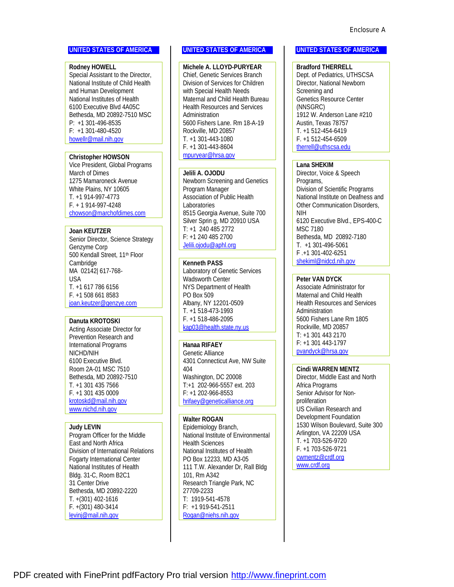#### **UNITED STATES OF AMERICA**

**Rodney HOWELL**  Special Assistant to the Director, National Institute of Child Health and Human Development National Institutes of Health 6100 Executive Blvd 4A05C Bethesda, MD 20892-7510 MSC P: +1 301-496-8535 F: +1 301-480-4520 [howellr@mail.nih.gov](mailto:howellr@mail.nih.gov)

**Christopher HOWSON**  Vice President, Global Programs March of Dimes 1275 Mamaroneck Avenue White Plains, NY 10605 T. +1 914-997-4773 F. + 1 914-997-4248 [chowson@marchofdimes.com](mailto:chowson@marchofdimes.com) 

## **Joan KEUTZER** Senior Director, Science Strategy Genzyme Corp 500 Kendall Street, 11th Floor Cambridge MA 02142| 617-768- USA T. +1 617 786 6156 F. +1 508 661 8583 [joan.keutzer@genzye.com](mailto:joan.keutzer@genzye.com)

#### **Danuta KROTOSKI**

Acting Associate Director for Prevention Research and International Programs NICHD/NIH 6100 Executive Blvd. Room 2A-01 MSC 7510 Bethesda, MD 20892-7510 T. +1 301 435 7566 F. +1 301 435 0009 [krotoskd@mail.nih.gov](mailto:krotoskd@mail.nih.gov) [www.nichd.nih.gov](http://www.nichd.nih.gov)

## **Judy LEVIN**

Program Officer for the Middle East and North Africa Division of International Relations Fogarty International Center National Institutes of Health Bldg. 31-C, Room B2C1 31 Center Drive Bethesda, MD 20892-2220 T. +(301) 402-1616 F. +(301) 480-3414 [levinj@mail.nih.gov](mailto:levinj@mail.nih.gov)

#### **UNITED STATES OF AMERICA**

**Michele A. LLOYD-PURYEAR**  Chief, Genetic Services Branch Division of Services for Children with Special Health Needs Maternal and Child Health Bureau Health Resources and Services Administration 5600 Fishers Lane. Rm 18-A-19 Rockville, MD 20857 T. +1 301-443-1080 F. +1 301-443-8604 [mpuryear@hrsa.gov](mailto:mpuryear@hrsa.gov) 

#### **Jelili A. OJODU**

Newborn Screening and Genetics Program Manager Association of Public Health Laboratories 8515 Georgia Avenue, Suite 700 Silver Sprin g, MD 20910 USA T: +1 240 485 2772 F: +1 240 485 2700 [Jelili.ojodu@aphl.org](mailto:Jelili.ojodu@aphl.org)

**Kenneth PASS**  Laboratory of Genetic Services Wadsworth Center NYS Department of Health PO Box 509 Albany, NY 12201-0509 T. +1 518-473-1993 F. +1 518-486-2095 [kap03@health.state.ny.us](mailto:kap03@health.state.ny.us)

**Hanaa RIFAEY** 

Genetic Alliance 4301 Connecticut Ave, NW Suite 404 Washington, DC 20008 T:+1 202-966-5557 ext. 203 F: +1 202-966-8553 [hrifaey@geneticalliance.org](mailto:hrifaey@geneticalliance.org)

## **Walter ROGAN**

Epidemiology Branch, National Institute of Environmental Health Sciences National Institutes of Health PO Box 12233, MD A3-05 111 T.W. Alexander Dr, Rall Bldg 101, Rm A342 Research Triangle Park, NC 27709-2233 T: 1919-541-4578 F: +1 919-541-2511 [Rogan@niehs.nih.gov](mailto:Rogan@niehs.nih.gov) 

#### **UNITED STATES OF AMERICA**

**Bradford THERRELL**  Dept. of Pediatrics, UTHSCSA Director, National Newborn Screening and Genetics Resource Center (NNSGRC) 1912 W. Anderson Lane #210 Austin, Texas 78757 T. +1 512-454-6419 F. +1 512-454-6509 [therrell@uthscsa.edu](mailto:therrell@uthscsa.edu) 

## **Lana SHEKIM**

Director, Voice & Speech Programs, Division of Scientific Programs National Institute on Deafness and Other Communication Disorders, NIH 6120 Executive Blvd., EPS-400-C MSC 7180 Bethesda, MD 20892-7180 T. +1 301-496-5061 F .+1 301-402-6251 [shekiml@nidcd.nih.gov](mailto:shekiml@nidcd.nih.gov)

#### **Peter VAN DYCK**

Associate Administrator for Maternal and Child Health Health Resources and Services Administration 5600 Fishers Lane Rm 1805 Rockville, MD 20857 T: +1 301 443 2170 F: +1 301 443-1797 [pvandyck@hrsa.gov](mailto:pvandyck@hrsa.gov) 

#### **Cindi WARREN MENTZ**

Director, Middle East and North Africa Programs Senior Advisor for Nonproliferation US Civilian Research and Development Foundation 1530 Wilson Boulevard, Suite 300 Arlington, VA 22209 USA T. +1 703-526-9720 F. +1 703-526-9721 [cwmentz@crdf.org](mailto:cwmentz@crdf.org) [www.crdf.org](http://www.crdf.org)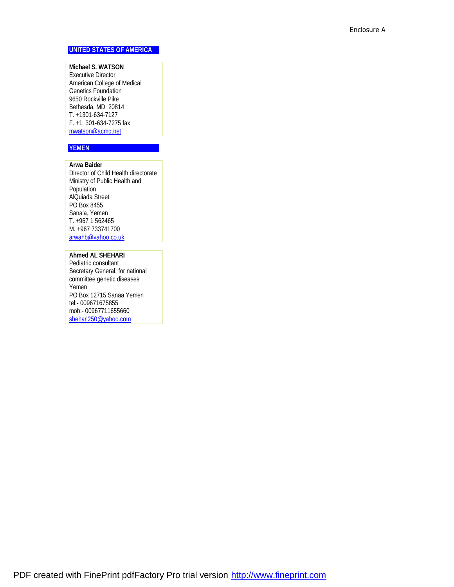## **UNITED STATES OF AMERICA**

**Michael S. WATSON**  Executive Director American College of Medical Genetics Foundation 9650 Rockville Pike Bethesda, MD 20814 T. +1301-634-7127 F. +1 301-634-7275 fax [mwatson@acmg.net](mailto:mwatson@acmg.net)

# **YEMEN**

**Arwa Baider**  Director of Child Health directorate Ministry of Public Health and Population AlQuiada Street PO Box 8455 Sana'a, Yemen T. +967 1 562465 M. +967 733741700 [arwahb@yahoo.co.uk](mailto:arwahb@yahoo.co.uk)

**Ahmed AL SHEHARI**  Pediatric consultant Secretary General, for national committee genetic diseases Yemen PO Box 12715 Sanaa Yemen tel:- 009671675855 mob:- 00967711655660 [shehari250@yahoo.com](mailto:shehari250@yahoo.com)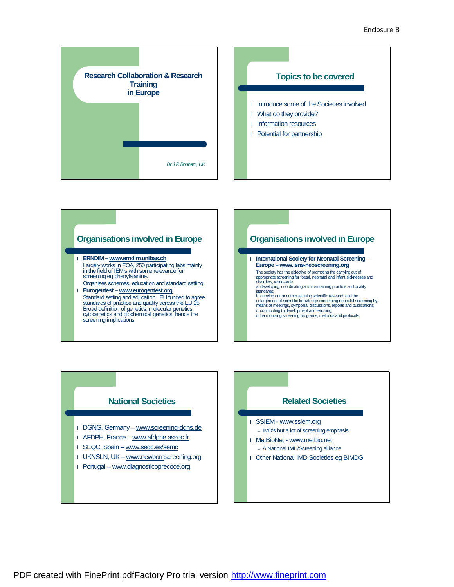









PDF created with FinePrint pdfFactory Pro trial version <http://www.fineprint.com>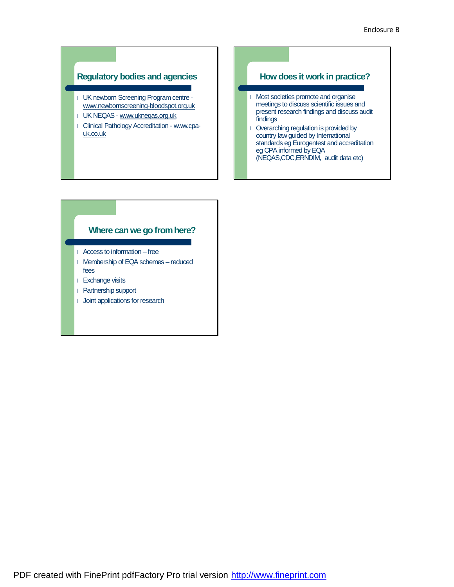# **Regulatory bodies and agencies**

- l UK newborn Screening Program centre [www.newbornscreening-bloodspot.org.uk](http://www.newbornscreening-bloodspot.org.uk)
- l UK NEQAS [www.ukneqas.org.uk](http://www.ukneqas.org.uk)
- l Clinical Pathology Accreditation www.cpauk.co.uk

## **How does it work in practice?**

- l Most societies promote and organise meetings to discuss scientific issues and present research findings and discuss audit findings
- l Overarching regulation is provided by country law guided by International standards eg Eurogentest and accreditation eg CPA informed by EQA (NEQAS,CDC,ERNDIM, audit data etc)

# **Where can we go fromhere?**

- l Access to information free
- l Membership of EQAschemes reduced fees
- l Exchange visits
- l Partnership support
- l Joint applications for research